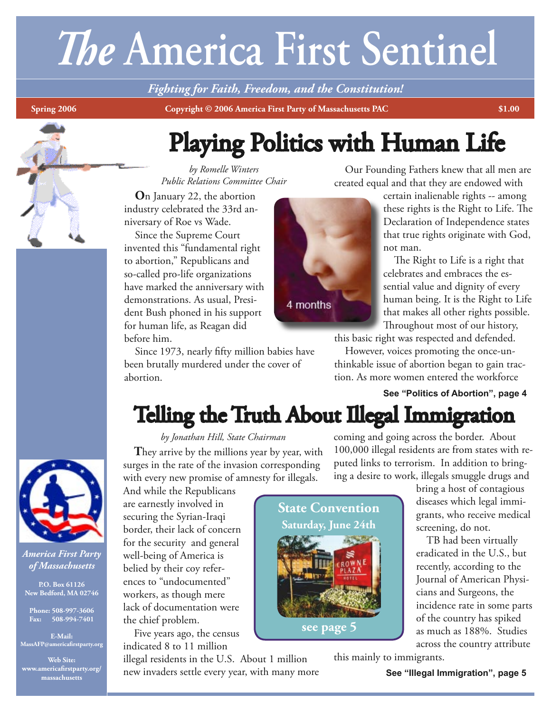# *The* **America First Sentinel**

*Fighting for Faith, Freedom, and the Constitution!*

**Spring 2006** Copyright © 2006 America First Party of Massachusetts PAC 51.00

## Playing Politics with Human Life

*by Romelle Winters Public Relations Committee Chair*

 **O**n January 22, the abortion industry celebrated the 33rd anniversary of Roe vs Wade.

 Since the Supreme Court invented this "fundamental right to abortion," Republicans and so-called pro-life organizations have marked the anniversary with demonstrations. As usual, President Bush phoned in his support for human life, as Reagan did before him.

 Since 1973, nearly fifty million babies have been brutally murdered under the cover of abortion.

*by Jonathan Hill, State Chairman* They arrive by the millions year by year, with

 Our Founding Fathers knew that all men are created equal and that they are endowed with

certain inalienable rights -- among these rights is the Right to Life. The Declaration of Independence states that true rights originate with God, not man.

 The Right to Life is a right that celebrates and embraces the essential value and dignity of every human being. It is the Right to Life that makes all other rights possible. Throughout most of our history,

this basic right was respected and defended.

 However, voices promoting the once-unthinkable issue of abortion began to gain traction. As more women entered the workforce

#### **See "Politics of Abortion", page 4**



*America First Party of Massachusetts*

**P.O. Box 61126 New Bedford, MA 02746**

**Phone: 508-997-3606 Fax: 508-994-7401**

**E-Mail: MassAFP@americafirstparty.org**

**Web Site: www.americafirstparty.org/ massachusetts**

# surges in the rate of the invasion corresponding with every new promise of amnesty for illegals.



coming and going across the border. About 100,000 illegal residents are from states with re-Telling the Truth About Illegal Immigration

ing a desire to work, illegals smuggle drugs and

And while the Republicans are earnestly involved in securing the Syrian-Iraqi border, their lack of concern for the security and general well-being of America is belied by their coy references to "undocumented" workers, as though mere lack of documentation were the chief problem.

 Five years ago, the census indicated 8 to 11 million

illegal residents in the U.S. About 1 million new invaders settle every year, with many more



puted links to terrorism. In addition to bringbring a host of contagious

diseases which legal immigrants, who receive medical screening, do not.

 TB had been virtually eradicated in the U.S., but recently, according to the Journal of American Physicians and Surgeons, the incidence rate in some parts of the country has spiked as much as 188%. Studies across the country attribute

this mainly to immigrants.

**See "Illegal Immigration", page 5**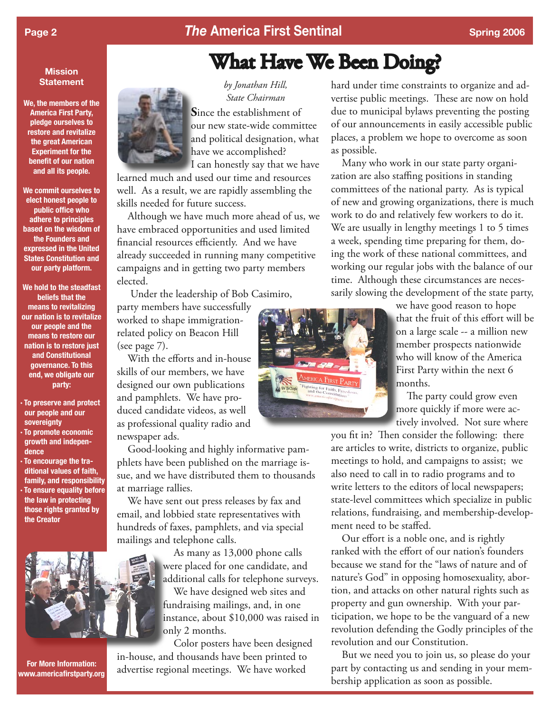#### **Page 2** *The America First Sentinal Spring 2006* Spring 2006

#### **Mission Statement**

**We, the members of the America First Party, pledge ourselves to restore and revitalize the great American Experiment for the benefit of our nation and all its people.**

**We commit ourselves to elect honest people to public office who adhere to principles based on the wisdom of the Founders and expressed in the United States Constitution and our party platform.**

**We hold to the steadfast beliefs that the means to revitalizing our nation is to revitalize our people and the means to restore our nation is to restore just and Constitutional governance. To this end, we obligate our party:**

- **· To preserve and protect our people and our sovereignty · To promote economic growth and indepen-**
- **dence · To encourage the traditional values of faith, family, and responsibility · To ensure equality before the law in protecting those rights granted by the Creator**



**For More Information: www.americafirstparty.org**



*by Jonathan Hill, State Chairman* **S**ince the establishment of our new state-wide committee and political designation, what have we accomplished? I can honestly say that we have

learned much and used our time and resources well. As a result, we are rapidly assembling the skills needed for future success.

 Although we have much more ahead of us, we have embraced opportunities and used limited financial resources efficiently. And we have already succeeded in running many competitive campaigns and in getting two party members elected.

Under the leadership of Bob Casimiro,

party members have successfully worked to shape immigrationrelated policy on Beacon Hill (see page 7).

 With the efforts and in-house skills of our members, we have designed our own publications and pamphlets. We have produced candidate videos, as well as professional quality radio and newspaper ads.

 Good-looking and highly informative pamphlets have been published on the marriage issue, and we have distributed them to thousands at marriage rallies.

 We have sent out press releases by fax and email, and lobbied state representatives with hundreds of faxes, pamphlets, and via special mailings and telephone calls.

> As many as 13,000 phone calls were placed for one candidate, and additional calls for telephone surveys.

> We have designed web sites and fundraising mailings, and, in one instance, about \$10,000 was raised in only 2 months.

 Color posters have been designed in-house, and thousands have been printed to advertise regional meetings. We have worked

hard under time constraints to organize and advertise public meetings. These are now on hold due to municipal bylaws preventing the posting of our announcements in easily accessible public places, a problem we hope to overcome as soon as possible.

 Many who work in our state party organization are also staffing positions in standing committees of the national party. As is typical of new and growing organizations, there is much work to do and relatively few workers to do it. We are usually in lengthy meetings 1 to 5 times a week, spending time preparing for them, doing the work of these national committees, and working our regular jobs with the balance of our time. Although these circumstances are necessarily slowing the development of the state party,

> we have good reason to hope that the fruit of this effort will be on a large scale -- a million new member prospects nationwide who will know of the America First Party within the next 6 months.

 The party could grow even more quickly if more were actively involved. Not sure where

you fit in? Then consider the following: there are articles to write, districts to organize, public meetings to hold, and campaigns to assist; we also need to call in to radio programs and to write letters to the editors of local newspapers; state-level committees which specialize in public relations, fundraising, and membership-development need to be staffed.

 Our effort is a noble one, and is rightly ranked with the effort of our nation's founders because we stand for the "laws of nature and of nature's God" in opposing homosexuality, abortion, and attacks on other natural rights such as property and gun ownership. With your participation, we hope to be the vanguard of a new revolution defending the Godly principles of the revolution and our Constitution.

 But we need you to join us, so please do your part by contacting us and sending in your membership application as soon as possible.



What Have We Been Doing?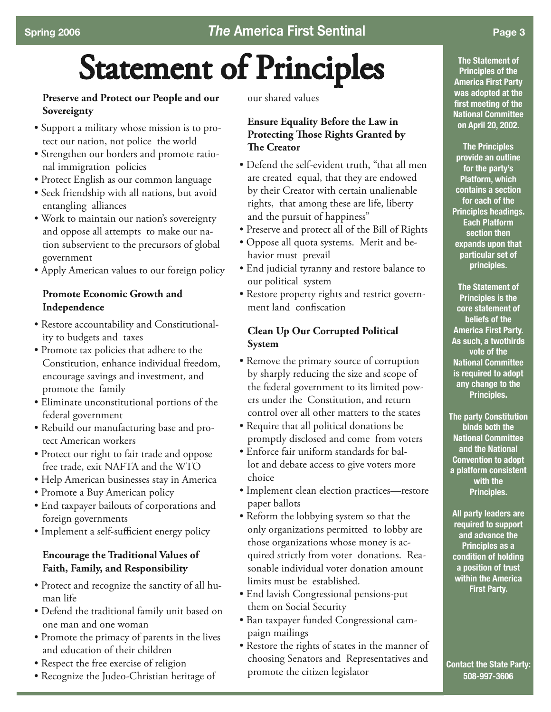# Statement of Principles

#### **Preserve and Protect our People and our Sovereignty**

- Support a military whose mission is to protect our nation, not police the world
- Strengthen our borders and promote rational immigration policies
- Protect English as our common language
- Seek friendship with all nations, but avoid entangling alliances
- Work to maintain our nation's sovereignty and oppose all attempts to make our nation subservient to the precursors of global government
- Apply American values to our foreign policy

#### **Promote Economic Growth and Independence**

- Restore accountability and Constitutionality to budgets and taxes
- Promote tax policies that adhere to the Constitution, enhance individual freedom, encourage savings and investment, and promote the family
- Eliminate unconstitutional portions of the federal government
- Rebuild our manufacturing base and protect American workers
- Protect our right to fair trade and oppose free trade, exit NAFTA and the WTO
- Help American businesses stay in America
- Promote a Buy American policy
- End taxpayer bailouts of corporations and foreign governments
- Implement a self-sufficient energy policy

#### **Encourage the Traditional Values of Faith, Family, and Responsibility**

- Protect and recognize the sanctity of all human life
- Defend the traditional family unit based on one man and one woman
- Promote the primacy of parents in the lives and education of their children
- Respect the free exercise of religion
- Recognize the Judeo-Christian heritage of

our shared values

#### **Ensure Equality Before the Law in Protecting Those Rights Granted by The Creator**

- Defend the self-evident truth, "that all men are created equal, that they are endowed by their Creator with certain unalienable rights, that among these are life, liberty and the pursuit of happiness"
- Preserve and protect all of the Bill of Rights
- Oppose all quota systems. Merit and behavior must prevail
- End judicial tyranny and restore balance to our political system
- Restore property rights and restrict government land confiscation

#### **Clean Up Our Corrupted Political System**

- Remove the primary source of corruption by sharply reducing the size and scope of the federal government to its limited powers under the Constitution, and return control over all other matters to the states
- Require that all political donations be promptly disclosed and come from voters
- Enforce fair uniform standards for ballot and debate access to give voters more choice
- Implement clean election practices—restore paper ballots
- Reform the lobbying system so that the only organizations permitted to lobby are those organizations whose money is acquired strictly from voter donations. Reasonable individual voter donation amount limits must be established.
- End lavish Congressional pensions-put them on Social Security
- Ban taxpayer funded Congressional campaign mailings
- Restore the rights of states in the manner of choosing Senators and Representatives and promote the citizen legislator

**The Statement of Principles of the America First Party was adopted at the first meeting of the National Committee on April 20, 2002.**

**The Principles provide an outline for the party's Platform, which contains a section for each of the Principles headings. Each Platform section then expands upon that particular set of principles.**

**The Statement of Principles is the core statement of beliefs of the America First Party. As such, a twothirds vote of the National Committee is required to adopt any change to the Principles.**

**The party Constitution binds both the National Committee and the National Convention to adopt a platform consistent with the Principles.**

**All party leaders are required to support and advance the Principles as a condition of holding a position of trust within the America First Party.**

**Contact the State Party: 508-997-3606**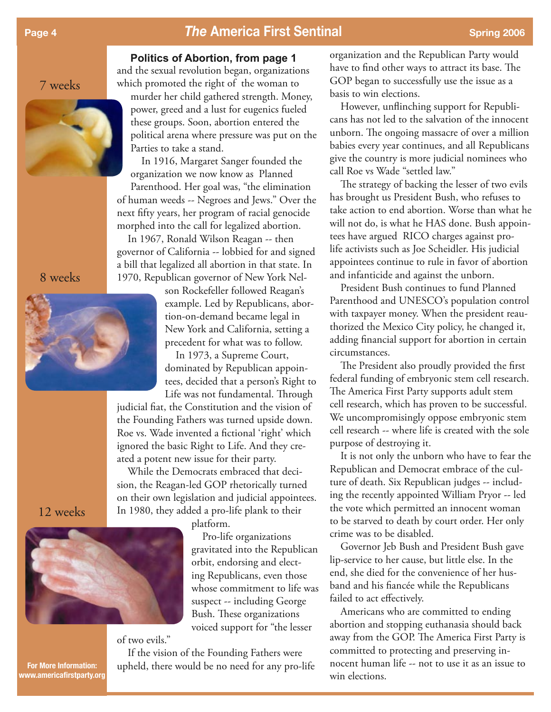#### **Page 4** *Page 4* **<b>***The America First Sentinal Spring 2006 Spring 2006*

#### **Politics of Abortion, from page 1**

7 weeks



#### 8 weeks



and the sexual revolution began, organizations which promoted the right of the woman to murder her child gathered strength. Money, power, greed and a lust for eugenics fueled these groups. Soon, abortion entered the political arena where pressure was put on the Parties to take a stand.

 In 1916, Margaret Sanger founded the organization we now know as Planned Parenthood. Her goal was, "the elimination of human weeds -- Negroes and Jews." Over the next fifty years, her program of racial genocide morphed into the call for legalized abortion.

 In 1967, Ronald Wilson Reagan -- then governor of California -- lobbied for and signed a bill that legalized all abortion in that state. In 1970, Republican governor of New York Nel-

> son Rockefeller followed Reagan's example. Led by Republicans, abortion-on-demand became legal in New York and California, setting a precedent for what was to follow.

 In 1973, a Supreme Court, dominated by Republican appointees, decided that a person's Right to Life was not fundamental. Through

judicial fiat, the Constitution and the vision of the Founding Fathers was turned upside down. Roe vs. Wade invented a fictional 'right' which ignored the basic Right to Life. And they created a potent new issue for their party.

 While the Democrats embraced that decision, the Reagan-led GOP rhetorically turned on their own legislation and judicial appointees. In 1980, they added a pro-life plank to their

platform.

 Pro-life organizations gravitated into the Republican orbit, endorsing and electing Republicans, even those whose commitment to life was suspect -- including George Bush. These organizations voiced support for "the lesser

of two evils."

 If the vision of the Founding Fathers were upheld, there would be no need for any pro-life

organization and the Republican Party would have to find other ways to attract its base. The GOP began to successfully use the issue as a basis to win elections.

 However, unflinching support for Republicans has not led to the salvation of the innocent unborn. The ongoing massacre of over a million babies every year continues, and all Republicans give the country is more judicial nominees who call Roe vs Wade "settled law."

 The strategy of backing the lesser of two evils has brought us President Bush, who refuses to take action to end abortion. Worse than what he will not do, is what he HAS done. Bush appointees have argued RICO charges against prolife activists such as Joe Scheidler. His judicial appointees continue to rule in favor of abortion and infanticide and against the unborn.

 President Bush continues to fund Planned Parenthood and UNESCO's population control with taxpayer money. When the president reauthorized the Mexico City policy, he changed it, adding financial support for abortion in certain circumstances.

 The President also proudly provided the first federal funding of embryonic stem cell research. The America First Party supports adult stem cell research, which has proven to be successful. We uncompromisingly oppose embryonic stem cell research -- where life is created with the sole purpose of destroying it.

 It is not only the unborn who have to fear the Republican and Democrat embrace of the culture of death. Six Republican judges -- including the recently appointed William Pryor -- led the vote which permitted an innocent woman to be starved to death by court order. Her only crime was to be disabled.

 Governor Jeb Bush and President Bush gave lip-service to her cause, but little else. In the end, she died for the convenience of her husband and his fiancée while the Republicans failed to act effectively.

 Americans who are committed to ending abortion and stopping euthanasia should back away from the GOP. The America First Party is committed to protecting and preserving innocent human life -- not to use it as an issue to win elections.

12 weeks



**For More Information: www.americafirstparty.org**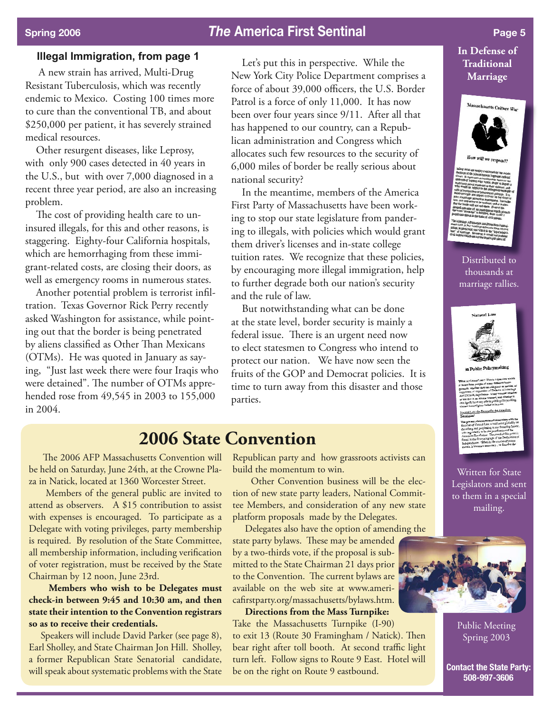### **Spring 2006** *Page 5 Page 5 Page 5**Page 5**Page 5**Page 5*

#### **Illegal Immigration, from page 1**

 A new strain has arrived, Multi-Drug Resistant Tuberculosis, which was recently endemic to Mexico. Costing 100 times more to cure than the conventional TB, and about \$250,000 per patient, it has severely strained medical resources.

 Other resurgent diseases, like Leprosy, with only 900 cases detected in 40 years in the U.S., but with over 7,000 diagnosed in a recent three year period, are also an increasing problem.

 The cost of providing health care to uninsured illegals, for this and other reasons, is staggering. Eighty-four California hospitals, which are hemorrhaging from these immigrant-related costs, are closing their doors, as well as emergency rooms in numerous states.

 Another potential problem is terrorist infiltration. Texas Governor Rick Perry recently asked Washington for assistance, while pointing out that the border is being penetrated by aliens classified as Other Than Mexicans (OTMs). He was quoted in January as saying, "Just last week there were four Iraqis who were detained". The number of OTMs apprehended rose from 49,545 in 2003 to 155,000 in 2004.

 Let's put this in perspective. While the New York City Police Department comprises a force of about 39,000 officers, the U.S. Border Patrol is a force of only 11,000. It has now been over four years since 9/11. After all that has happened to our country, can a Republican administration and Congress which allocates such few resources to the security of 6,000 miles of border be really serious about national security?

 In the meantime, members of the America First Party of Massachusetts have been working to stop our state legislature from pandering to illegals, with policies which would grant them driver's licenses and in-state college tuition rates. We recognize that these policies, by encouraging more illegal immigration, help to further degrade both our nation's security and the rule of law.

 But notwithstanding what can be done at the state level, border security is mainly a federal issue. There is an urgent need now to elect statesmen to Congress who intend to protect our nation. We have now seen the fruits of the GOP and Democrat policies. It is time to turn away from this disaster and those parties.

### **2006 State Convention**

 The 2006 AFP Massachusetts Convention will be held on Saturday, June 24th, at the Crowne Plaza in Natick, located at 1360 Worcester Street.

 Members of the general public are invited to attend as observers. A \$15 contribution to assist with expenses is encouraged. To participate as a Delegate with voting privileges, party membership is required. By resolution of the State Committee, all membership information, including verification of voter registration, must be received by the State Chairman by 12 noon, June 23rd.

 **Members who wish to be Delegates must check-in between 9:45 and 10:30 am, and then state their intention to the Convention registrars so as to receive their credentials.** 

 Speakers will include David Parker (see page 8), Earl Sholley, and State Chairman Jon Hill. Sholley, a former Republican State Senatorial candidate, will speak about systematic problems with the State Republican party and how grassroots activists can build the momentum to win.

 Other Convention business will be the election of new state party leaders, National Committee Members, and consideration of any new state platform proposals made by the Delegates.

 Delegates also have the option of amending the state party bylaws. These may be amended by a two-thirds vote, if the proposal is submitted to the State Chairman 21 days prior to the Convention. The current bylaws are available on the web site at www.americafirstparty.org/massachusetts/bylaws.htm.

 **Directions from the Mass Turnpike:** Take the Massachusetts Turnpike (I-90) to exit 13 (Route 30 Framingham / Natick). Then bear right after toll booth. At second traffic light turn left. Follow signs to Route 9 East. Hotel will be on the right on Route 9 eastbound.

#### **In Defense of Traditional Marriage**



Distributed to thousands at marriage rallies.



Written for State Legislators and sent to them in a special mailing.



Public Meeting Spring 2003

**Contact the State Party: 508-997-3606**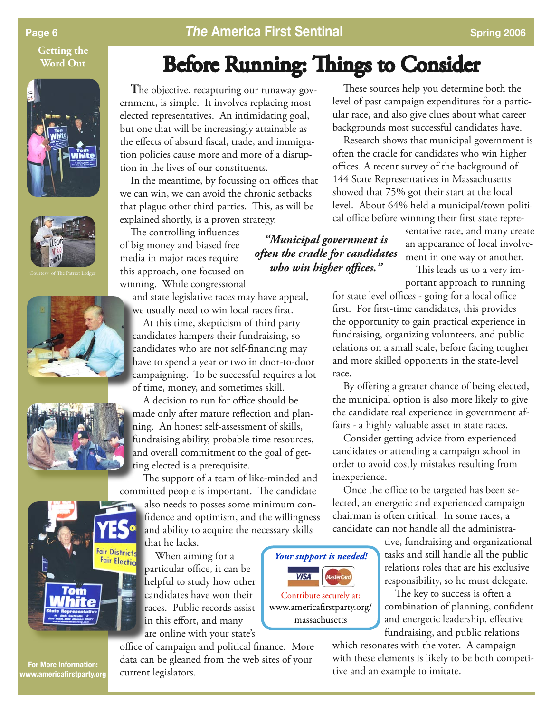**Getting the Word Out**











**Page 6 <b>***The America First Sentinal Spring 2006* Spring 2006

## Before Running: Things to Consider

*"Municipal government is often the cradle for candidates who win higher offices."*

*Your support is needed!*

Contribute securely at: www.americafirstparty.org/ massachusetts

**VISA** 

 **T**he objective, recapturing our runaway government, is simple. It involves replacing most elected representatives. An intimidating goal, but one that will be increasingly attainable as the effects of absurd fiscal, trade, and immigration policies cause more and more of a disruption in the lives of our constituents.

 In the meantime, by focussing on offices that we can win, we can avoid the chronic setbacks that plague other third parties. This, as will be explained shortly, is a proven strategy.

 The controlling influences of big money and biased free media in major races require this approach, one focused on winning. While congressional

and state legislative races may have appeal, we usually need to win local races first.

 At this time, skepticism of third party candidates hampers their fundraising, so candidates who are not self-financing may have to spend a year or two in door-to-door campaigning. To be successful requires a lot of time, money, and sometimes skill.

 A decision to run for office should be made only after mature reflection and planning. An honest self-assessment of skills, fundraising ability, probable time resources, and overall commitment to the goal of getting elected is a prerequisite.

 The support of a team of like-minded and committed people is important. The candidate

also needs to posses some minimum confidence and optimism, and the willingness and ability to acquire the necessary skills that he lacks.

 When aiming for a particular office, it can be helpful to study how other candidates have won their races. Public records assist in this effort, and many are online with your state's



 These sources help you determine both the level of past campaign expenditures for a particular race, and also give clues about what career backgrounds most successful candidates have.

 Research shows that municipal government is often the cradle for candidates who win higher offices. A recent survey of the background of 144 State Representatives in Massachusetts showed that 75% got their start at the local level. About 64% held a municipal/town political office before winning their first state repre-

> sentative race, and many create an appearance of local involvement in one way or another.

 This leads us to a very important approach to running

for state level offices - going for a local office first. For first-time candidates, this provides the opportunity to gain practical experience in fundraising, organizing volunteers, and public relations on a small scale, before facing tougher and more skilled opponents in the state-level race.

 By offering a greater chance of being elected, the municipal option is also more likely to give the candidate real experience in government affairs - a highly valuable asset in state races.

 Consider getting advice from experienced candidates or attending a campaign school in order to avoid costly mistakes resulting from inexperience.

 Once the office to be targeted has been selected, an energetic and experienced campaign chairman is often critical. In some races, a candidate can not handle all the administra-

> tive, fundraising and organizational tasks and still handle all the public relations roles that are his exclusive responsibility, so he must delegate.

> The key to success is often a combination of planning, confident and energetic leadership, effective fundraising, and public relations

which resonates with the voter. A campaign with these elements is likely to be both competitive and an example to imitate.

**For More Information: www.americafirstparty.org**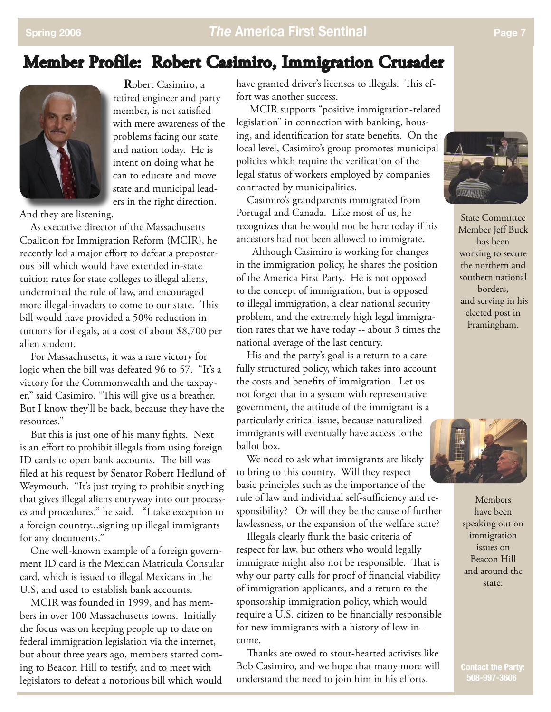### Member Profile: Robert Casimiro, Immigration Crusader



 **R**obert Casimiro, a retired engineer and party member, is not satisfied with mere awareness of the problems facing our state and nation today. He is intent on doing what he can to educate and move state and municipal leaders in the right direction.

And they are listening.

 As executive director of the Massachusetts Coalition for Immigration Reform (MCIR), he recently led a major effort to defeat a preposterous bill which would have extended in-state tuition rates for state colleges to illegal aliens, undermined the rule of law, and encouraged more illegal-invaders to come to our state. This bill would have provided a 50% reduction in tuitions for illegals, at a cost of about \$8,700 per alien student.

 For Massachusetts, it was a rare victory for logic when the bill was defeated 96 to 57. "It's a victory for the Commonwealth and the taxpayer," said Casimiro. "This will give us a breather. But I know they'll be back, because they have the resources."

 But this is just one of his many fights. Next is an effort to prohibit illegals from using foreign ID cards to open bank accounts. The bill was filed at his request by Senator Robert Hedlund of Weymouth. "It's just trying to prohibit anything that gives illegal aliens entryway into our processes and procedures," he said. "I take exception to a foreign country...signing up illegal immigrants for any documents."

 One well-known example of a foreign government ID card is the Mexican Matricula Consular card, which is issued to illegal Mexicans in the U.S, and used to establish bank accounts.

 MCIR was founded in 1999, and has members in over 100 Massachusetts towns. Initially the focus was on keeping people up to date on federal immigration legislation via the internet, but about three years ago, members started coming to Beacon Hill to testify, and to meet with legislators to defeat a notorious bill which would

have granted driver's licenses to illegals. This effort was another success.

 MCIR supports "positive immigration-related legislation" in connection with banking, housing, and identification for state benefits. On the local level, Casimiro's group promotes municipal policies which require the verification of the legal status of workers employed by companies contracted by municipalities.

 Casimiro's grandparents immigrated from Portugal and Canada. Like most of us, he recognizes that he would not be here today if his ancestors had not been allowed to immigrate.

 Although Casimiro is working for changes in the immigration policy, he shares the position of the America First Party. He is not opposed to the concept of immigration, but is opposed to illegal immigration, a clear national security problem, and the extremely high legal immigration rates that we have today -- about 3 times the national average of the last century.

 His and the party's goal is a return to a carefully structured policy, which takes into account the costs and benefits of immigration. Let us not forget that in a system with representative government, the attitude of the immigrant is a particularly critical issue, because naturalized immigrants will eventually have access to the ballot box.

 We need to ask what immigrants are likely to bring to this country. Will they respect basic principles such as the importance of the rule of law and individual self-sufficiency and responsibility? Or will they be the cause of further lawlessness, or the expansion of the welfare state?

 Illegals clearly flunk the basic criteria of respect for law, but others who would legally immigrate might also not be responsible. That is why our party calls for proof of financial viability of immigration applicants, and a return to the sponsorship immigration policy, which would require a U.S. citizen to be financially responsible for new immigrants with a history of low-income.

 Thanks are owed to stout-hearted activists like Bob Casimiro, and we hope that many more will understand the need to join him in his efforts.



State Committee Member Jeff Buck has been working to secure the northern and southern national borders, and serving in his elected post in Framingham.



Members have been speaking out on immigration issues on Beacon Hill and around the state.

 **Contact the Party:**